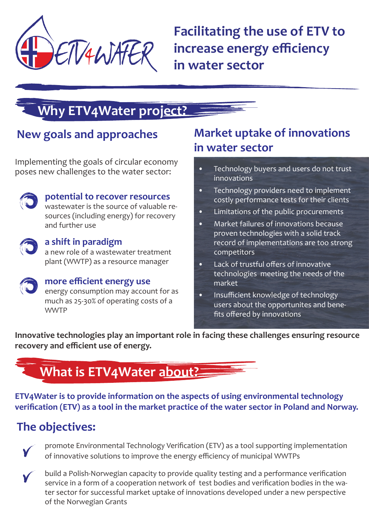

**Facilitating the use of ETV to increase energy efficiency in water sector**

# **Why ETV4Water project?**

Implementing the goals of circular economy poses new challenges to the water sector:



**potential to recover resources**

wastewater is the source of valuable resources (including energy) for recovery and further use



### **a shift in paradigm**

a new role of a wastewater treatment plant (WWTP) as a resource manager



### **more efficient energy use**

energy consumption may account for as much as 25-30% of operating costs of a WWTP

### **New goals and approaches Market uptake of innovations in water sector**

- Technology buyers and users do not trust innovations
- Technology providers need to implement costly performance tests for their clients
- Limitations of the public procurements
- Market failures of innovations because proven technologies with a solid track record of implementations are too strong competitors
- Lack of trustful offers of innovative technologies meeting the needs of the market
- Insufficient knowledge of technology users about the opportunites and benefits offered by innovations

**Innovative technologies play an important role in facing these challenges ensuring resource recovery and efficient use of energy.**



**ETV4Water is to provide information on the aspects of using environmental technology verification (ETV) as a tool in the market practice of the water sector in Poland and Norway.**

# **The objectives:**



promote Environmental Technology Verification (ETV) as a tool supporting implementation of innovative solutions to improve the energy efficiency of municipal WWTPs



build a Polish-Norwegian capacity to provide quality testing and a performance verification service in a form of a cooperation network of test bodies and verification bodies in the water sector for successful market uptake of innovations developed under a new perspective of the Norwegian Grants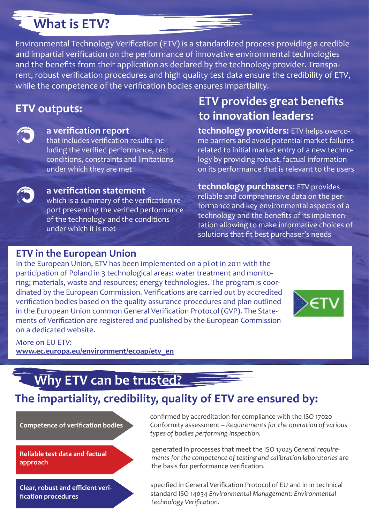# **What is ETV?**

Environmental Technology Verification (ETV) is a standardized process providing a credible and impartial verification on the performance of innovative environmental technologies and the benefits from their application as declared by the technology provider. Transparent, robust verification procedures and high quality test data ensure the credibility of ETV, while the competence of the verification bodies ensures impartiality.

### **ETV outputs:**



#### **a verification report**

that includes verification results including the verified performance, test conditions, constraints and limitations under which they are met



#### **a verification statement**  which is a summary of the verification report presenting the verified performance of the technology and the conditions

under which it is met

# **ETV provides great benefits to innovation leaders:**

**technology providers:** ETV helps overcome barriers and avoid potential market failures related to initial market entry of a new technology by providing robust, factual information on its performance that is relevant to the users

**technology purchasers:** ETV provides reliable and comprehensive data on the performance and key environmental aspects of a technology and the benefits of its implementation allowing to make informative choices of solutions that fit best purchaser's needs

### **ETV in the European Union**

In the European Union, ETV has been implemented on a pilot in 2011 with the participation of Poland in 3 technological areas: water treatment and monitoring; materials, waste and resources; energy technologies. The program is coordinated by the European Commission. Verifications are carried out by accredited verification bodies based on the quality assurance procedures and plan outlined in the European Union common General Verification Protocol (GVP). The Statements of Verification are registered and published by the European Commission on a dedicated website.



#### More on EU ETV: **www.ec.europa.eu/environment/ecoap/etv\_en**

# **Why ETV can be trusted?**

# **The impartiality, credibility, quality of ETV are ensured by:**

**Competence of verification bodies**

**Reliable test data and factual approach**

**Clear, robust and efficient verification procedures**

confirmed by accreditation for compliance with the ISO 17020 Conformity assessment – *Requirements for the operation of various types of bodies performing inspection.* 

generated in processes that meet the ISO 17025 *General requirements for the competence of testing and calibration laboratories* are the basis for performance verification.

specified in General Verification Protocol of EU and in in technical standard ISO 14034 *Environmental Management: Environmental Technology Verification.*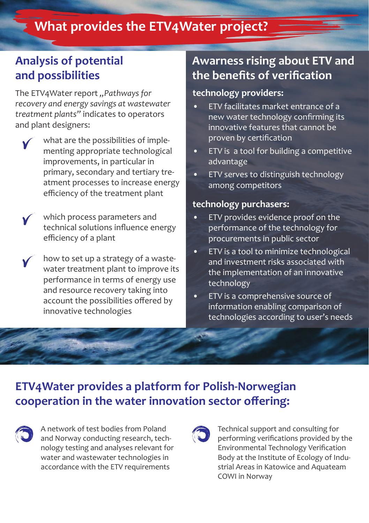# **What provides the ETV4Water project?**

# **Analysis of potential and possibilities**

The ETV4Water report "Pathways for *recovery and energy savings at wastewater treatment plants"* indicates to operators and plant designers:

what are the possibilities of implementing appropriate technological improvements, in particular in primary, secondary and tertiary treatment processes to increase energy efficiency of the treatment plant

which process parameters and technical solutions influence energy efficiency of a plant

how to set up a strategy of a wastewater treatment plant to improve its performance in terms of energy use and resource recovery taking into account the possibilities offered by innovative technologies

# **Awarness rising about ETV and the benefits of verification**

#### **technology providers:**

- ETV facilitates market entrance of a new water technology confirming its innovative features that cannot be proven by certification
- ETV is a tool for building a competitive advantage
- ETV serves to distinguish technology among competitors

### **technology purchasers:**

- ETV provides evidence proof on the performance of the technology for procurements in public sector
- ETV is a tool to minimize technological and investment risks associated with the implementation of an innovative technology
- ETV is a comprehensive source of information enabling comparison of technologies according to user's needs

### **ETV4Water provides a platform for Polish-Norwegian cooperation in the water innovation sector offering:**



A network of test bodies from Poland and Norway conducting research, technology testing and analyses relevant for water and wastewater technologies in accordance with the ETV requirements



Technical support and consulting for performing verifications provided by the Environmental Technology Verification Body at the Institute of Ecology of Industrial Areas in Katowice and Aquateam COWI in Norway